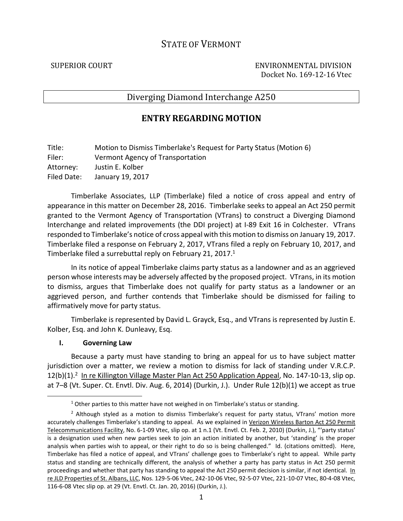# STATE OF VERMONT

SUPERIOR COURT ENVIRONMENTAL DIVISION Docket No. 169-12-16 Vtec

## Diverging Diamond Interchange A250

## **ENTRY REGARDING MOTION**

Title: Motion to Dismiss Timberlake's Request for Party Status (Motion 6) Filer: Vermont Agency of Transportation Attorney: Justin E. Kolber Filed Date: January 19, 2017

Timberlake Associates, LLP (Timberlake) filed a notice of cross appeal and entry of appearance in this matter on December 28, 2016. Timberlake seeks to appeal an Act 250 permit granted to the Vermont Agency of Transportation (VTrans) to construct a Diverging Diamond Interchange and related improvements (the DDI project) at I-89 Exit 16 in Colchester. VTrans responded to Timberlake's notice of cross appeal with this motion to dismiss on January 19, 2017. Timberlake filed a response on February 2, 2017, VTrans filed a reply on February 10, 2017, and Timberlake filed a surrebuttal reply on February 21, 2017.<sup>1</sup>

In its notice of appeal Timberlake claims party status as a landowner and as an aggrieved person whose interests may be adversely affected by the proposed project. VTrans, in its motion to dismiss, argues that Timberlake does not qualify for party status as a landowner or an aggrieved person, and further contends that Timberlake should be dismissed for failing to affirmatively move for party status.

Timberlake is represented by David L. Grayck, Esq., and VTrans is represented by Justin E. Kolber, Esq. and John K. Dunleavy, Esq.

#### **I. Governing Law**

1

Because a party must have standing to bring an appeal for us to have subject matter jurisdiction over a matter, we review a motion to dismiss for lack of standing under V.R.C.P. 12(b)(1).<sup>2</sup> In re Killington Village Master Plan Act 250 Application Appeal, No. 147-10-13, slip op. at 7–8 (Vt. Super. Ct. Envtl. Div. Aug. 6, 2014) (Durkin, J.). Under Rule 12(b)(1) we accept as true

 $1$  Other parties to this matter have not weighed in on Timberlake's status or standing.

<sup>&</sup>lt;sup>2</sup> Although styled as a motion to dismiss Timberlake's request for party status, VTrans' motion more accurately challenges Timberlake's standing to appeal. As we explained in Verizon Wireless Barton Act 250 Permit Telecommunications Facility, No. 6-1-09 Vtec, slip op. at 1 n.1 (Vt. Envtl. Ct. Feb. 2, 2010) (Durkin, J.), "'party status' is a designation used when new parties seek to join an action initiated by another, but 'standing' is the proper analysis when parties wish to appeal, or their right to do so is being challenged." Id. (citations omitted). Here, Timberlake has filed a notice of appeal, and VTrans' challenge goes to Timberlake's right to appeal. While party status and standing are technically different, the analysis of whether a party has party status in Act 250 permit proceedings and whether that party has standing to appeal the Act 250 permit decision is similar, if not identical. In re JLD Properties of St. Albans, LLC, Nos. 129-5-06 Vtec, 242-10-06 Vtec, 92-5-07 Vtec, 221-10-07 Vtec, 80-4-08 Vtec, 116-6-08 Vtec slip op. at 29 (Vt. Envtl. Ct. Jan. 20, 2016) (Durkin, J.).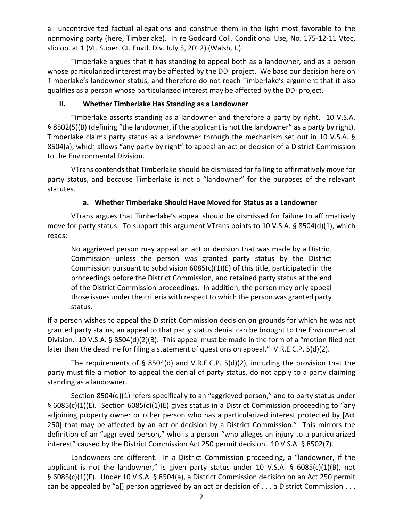all uncontroverted factual allegations and construe them in the light most favorable to the nonmoving party (here, Timberlake). In re Goddard Coll. Conditional Use, No. 175-12-11 Vtec, slip op. at 1 (Vt. Super. Ct. Envtl. Div. July 5, 2012) (Walsh, J.).

Timberlake argues that it has standing to appeal both as a landowner, and as a person whose particularized interest may be affected by the DDI project. We base our decision here on Timberlake's landowner status, and therefore do not reach Timberlake's argument that it also qualifies as a person whose particularized interest may be affected by the DDI project.

#### **II. Whether Timberlake Has Standing as a Landowner**

Timberlake asserts standing as a landowner and therefore a party by right. 10 V.S.A. § 8502(5)(B) (defining "the landowner, if the applicant is not the landowner" as a party by right). Timberlake claims party status as a landowner through the mechanism set out in 10 V.S.A. § 8504(a), which allows "any party by right" to appeal an act or decision of a District Commission to the Environmental Division.

VTrans contends that Timberlake should be dismissed for failing to affirmatively move for party status, and because Timberlake is not a "landowner" for the purposes of the relevant statutes.

### **a. Whether Timberlake Should Have Moved for Status as a Landowner**

VTrans argues that Timberlake's appeal should be dismissed for failure to affirmatively move for party status. To support this argument VTrans points to 10 V.S.A. § 8504(d)(1), which reads:

No aggrieved person may appeal an act or decision that was made by a District Commission unless the person was granted party status by the District Commission pursuant to subdivision  $6085(c)(1)(E)$  of this title, participated in the proceedings before the District Commission, and retained party status at the end of the District Commission proceedings. In addition, the person may only appeal those issues under the criteria with respect to which the person was granted party status.

If a person wishes to appeal the District Commission decision on grounds for which he was not granted party status, an appeal to that party status denial can be brought to the Environmental Division. 10 V.S.A. § 8504(d)(2)(B). This appeal must be made in the form of a "motion filed not later than the deadline for filing a statement of questions on appeal." V.R.E.C.P. 5(d)(2).

The requirements of  $\S$  8504(d) and V.R.E.C.P. 5(d)(2), including the provision that the party must file a motion to appeal the denial of party status, do not apply to a party claiming standing as a landowner.

Section 8504(d)(1) refers specifically to an "aggrieved person," and to party status under § 6085(c)(1)(E). Section 6085(c)(1)(E) gives status in a District Commission proceeding to "any adjoining property owner or other person who has a particularized interest protected by [Act 250] that may be affected by an act or decision by a District Commission." This mirrors the definition of an "aggrieved person," who is a person "who alleges an injury to a particularized interest" caused by the District Commission Act 250 permit decision. 10 V.S.A. § 8502(7).

Landowners are different. In a District Commission proceeding, a "landowner, if the applicant is not the landowner," is given party status under 10 V.S.A. § 6085(c)(1)(B), not § 6085(c)(1)(E). Under 10 V.S.A. § 8504(a), a District Commission decision on an Act 250 permit can be appealed by "a[] person aggrieved by an act or decision of . . . a District Commission . . .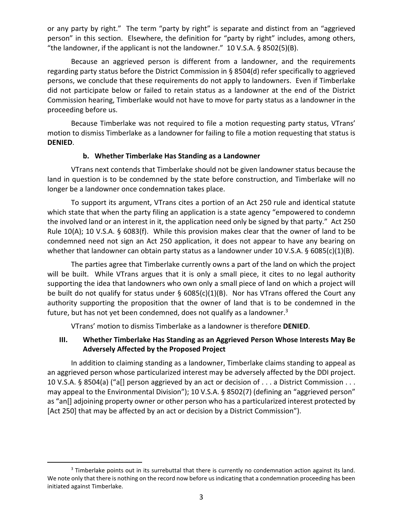or any party by right." The term "party by right" is separate and distinct from an "aggrieved person" in this section. Elsewhere, the definition for "party by right" includes, among others, "the landowner, if the applicant is not the landowner." 10 V.S.A. § 8502(5)(B).

Because an aggrieved person is different from a landowner, and the requirements regarding party status before the District Commission in § 8504(d) refer specifically to aggrieved persons, we conclude that these requirements do not apply to landowners. Even if Timberlake did not participate below or failed to retain status as a landowner at the end of the District Commission hearing, Timberlake would not have to move for party status as a landowner in the proceeding before us.

Because Timberlake was not required to file a motion requesting party status, VTrans' motion to dismiss Timberlake as a landowner for failing to file a motion requesting that status is **DENIED**.

#### **b. Whether Timberlake Has Standing as a Landowner**

VTrans next contends that Timberlake should not be given landowner status because the land in question is to be condemned by the state before construction, and Timberlake will no longer be a landowner once condemnation takes place.

To support its argument, VTrans cites a portion of an Act 250 rule and identical statute which state that when the party filing an application is a state agency "empowered to condemn the involved land or an interest in it, the application need only be signed by that party." Act 250 Rule 10(A); 10 V.S.A. § 6083(f). While this provision makes clear that the owner of land to be condemned need not sign an Act 250 application, it does not appear to have any bearing on whether that landowner can obtain party status as a landowner under 10 V.S.A. § 6085(c)(1)(B).

The parties agree that Timberlake currently owns a part of the land on which the project will be built. While VTrans argues that it is only a small piece, it cites to no legal authority supporting the idea that landowners who own only a small piece of land on which a project will be built do not qualify for status under  $\S$  6085(c)(1)(B). Nor has VTrans offered the Court any authority supporting the proposition that the owner of land that is to be condemned in the future, but has not yet been condemned, does not qualify as a landowner. $3$ 

VTrans' motion to dismiss Timberlake as a landowner is therefore **DENIED**.

### **III. Whether Timberlake Has Standing as an Aggrieved Person Whose Interests May Be Adversely Affected by the Proposed Project**

In addition to claiming standing as a landowner, Timberlake claims standing to appeal as an aggrieved person whose particularized interest may be adversely affected by the DDI project. 10 V.S.A. § 8504(a) ("a[] person aggrieved by an act or decision of . . . a District Commission . . . may appeal to the Environmental Division"); 10 V.S.A. § 8502(7) (defining an "aggrieved person" as "an[] adjoining property owner or other person who has a particularized interest protected by [Act 250] that may be affected by an act or decision by a District Commission"].

.

<sup>&</sup>lt;sup>3</sup> Timberlake points out in its surrebuttal that there is currently no condemnation action against its land. We note only that there is nothing on the record now before us indicating that a condemnation proceeding has been initiated against Timberlake.